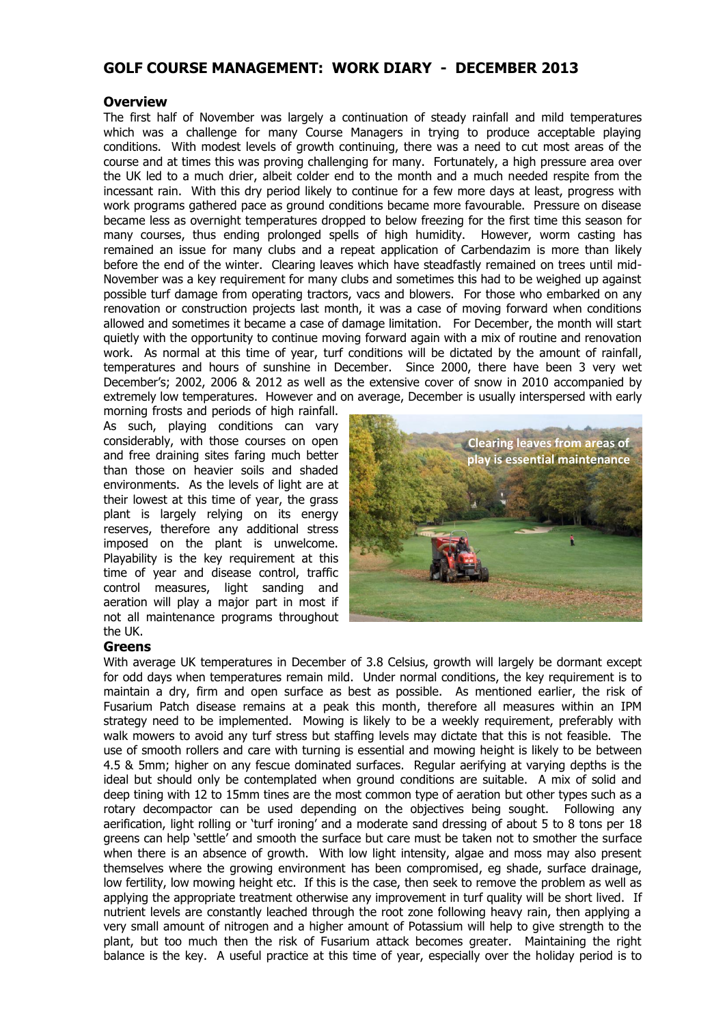# **GOLF COURSE MANAGEMENT: WORK DIARY - DECEMBER 2013**

## **Overview**

The first half of November was largely a continuation of steady rainfall and mild temperatures which was a challenge for many Course Managers in trying to produce acceptable playing conditions. With modest levels of growth continuing, there was a need to cut most areas of the course and at times this was proving challenging for many. Fortunately, a high pressure area over the UK led to a much drier, albeit colder end to the month and a much needed respite from the incessant rain. With this dry period likely to continue for a few more days at least, progress with work programs gathered pace as ground conditions became more favourable. Pressure on disease became less as overnight temperatures dropped to below freezing for the first time this season for many courses, thus ending prolonged spells of high humidity. However, worm casting has remained an issue for many clubs and a repeat application of Carbendazim is more than likely before the end of the winter. Clearing leaves which have steadfastly remained on trees until mid-November was a key requirement for many clubs and sometimes this had to be weighed up against possible turf damage from operating tractors, vacs and blowers. For those who embarked on any renovation or construction projects last month, it was a case of moving forward when conditions allowed and sometimes it became a case of damage limitation. For December, the month will start quietly with the opportunity to continue moving forward again with a mix of routine and renovation work. As normal at this time of year, turf conditions will be dictated by the amount of rainfall, temperatures and hours of sunshine in December. Since 2000, there have been 3 very wet December's; 2002, 2006 & 2012 as well as the extensive cover of snow in 2010 accompanied by extremely low temperatures. However and on average, December is usually interspersed with early

morning frosts and periods of high rainfall. As such, playing conditions can vary considerably, with those courses on open and free draining sites faring much better than those on heavier soils and shaded environments. As the levels of light are at their lowest at this time of year, the grass plant is largely relying on its energy reserves, therefore any additional stress imposed on the plant is unwelcome. Playability is the key requirement at this time of year and disease control, traffic control measures, light sanding and aeration will play a major part in most if not all maintenance programs throughout the UK.



#### **Greens**

With average UK temperatures in December of 3.8 Celsius, growth will largely be dormant except for odd days when temperatures remain mild. Under normal conditions, the key requirement is to maintain a dry, firm and open surface as best as possible. As mentioned earlier, the risk of Fusarium Patch disease remains at a peak this month, therefore all measures within an IPM strategy need to be implemented. Mowing is likely to be a weekly requirement, preferably with walk mowers to avoid any turf stress but staffing levels may dictate that this is not feasible. The use of smooth rollers and care with turning is essential and mowing height is likely to be between 4.5 & 5mm; higher on any fescue dominated surfaces. Regular aerifying at varying depths is the ideal but should only be contemplated when ground conditions are suitable. A mix of solid and deep tining with 12 to 15mm tines are the most common type of aeration but other types such as a rotary decompactor can be used depending on the objectives being sought. Following any aerification, light rolling or 'turf ironing' and a moderate sand dressing of about 5 to 8 tons per 18 greens can help 'settle' and smooth the surface but care must be taken not to smother the surface when there is an absence of growth. With low light intensity, algae and moss may also present themselves where the growing environment has been compromised, eg shade, surface drainage, low fertility, low mowing height etc. If this is the case, then seek to remove the problem as well as applying the appropriate treatment otherwise any improvement in turf quality will be short lived. If nutrient levels are constantly leached through the root zone following heavy rain, then applying a very small amount of nitrogen and a higher amount of Potassium will help to give strength to the plant, but too much then the risk of Fusarium attack becomes greater. Maintaining the right balance is the key. A useful practice at this time of year, especially over the holiday period is to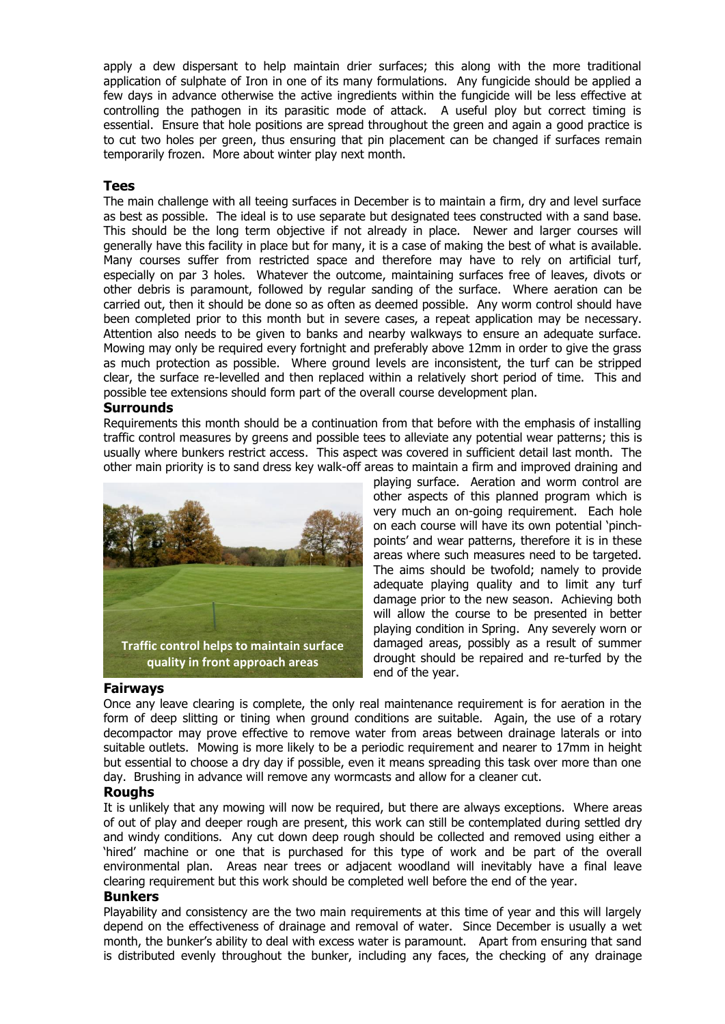apply a dew dispersant to help maintain drier surfaces; this along with the more traditional application of sulphate of Iron in one of its many formulations. Any fungicide should be applied a few days in advance otherwise the active ingredients within the fungicide will be less effective at controlling the pathogen in its parasitic mode of attack. A useful ploy but correct timing is essential. Ensure that hole positions are spread throughout the green and again a good practice is to cut two holes per green, thus ensuring that pin placement can be changed if surfaces remain temporarily frozen. More about winter play next month.

# **Tees**

The main challenge with all teeing surfaces in December is to maintain a firm, dry and level surface as best as possible. The ideal is to use separate but designated tees constructed with a sand base. This should be the long term objective if not already in place. Newer and larger courses will generally have this facility in place but for many, it is a case of making the best of what is available. Many courses suffer from restricted space and therefore may have to rely on artificial turf, especially on par 3 holes. Whatever the outcome, maintaining surfaces free of leaves, divots or other debris is paramount, followed by regular sanding of the surface. Where aeration can be carried out, then it should be done so as often as deemed possible. Any worm control should have been completed prior to this month but in severe cases, a repeat application may be necessary. Attention also needs to be given to banks and nearby walkways to ensure an adequate surface. Mowing may only be required every fortnight and preferably above 12mm in order to give the grass as much protection as possible. Where ground levels are inconsistent, the turf can be stripped clear, the surface re-levelled and then replaced within a relatively short period of time. This and possible tee extensions should form part of the overall course development plan.

# **Surrounds**

Requirements this month should be a continuation from that before with the emphasis of installing traffic control measures by greens and possible tees to alleviate any potential wear patterns; this is usually where bunkers restrict access. This aspect was covered in sufficient detail last month. The other main priority is to sand dress key walk-off areas to maintain a firm and improved draining and



#### playing surface. Aeration and worm control are other aspects of this planned program which is very much an on-going requirement. Each hole on each course will have its own potential 'pinchpoints' and wear patterns, therefore it is in these areas where such measures need to be targeted. The aims should be twofold; namely to provide adequate playing quality and to limit any turf damage prior to the new season. Achieving both will allow the course to be presented in better playing condition in Spring. Any severely worn or damaged areas, possibly as a result of summer drought should be repaired and re-turfed by the end of the year.

## **Fairways**

Once any leave clearing is complete, the only real maintenance requirement is for aeration in the form of deep slitting or tining when ground conditions are suitable. Again, the use of a rotary decompactor may prove effective to remove water from areas between drainage laterals or into suitable outlets. Mowing is more likely to be a periodic requirement and nearer to 17mm in height but essential to choose a dry day if possible, even it means spreading this task over more than one day. Brushing in advance will remove any wormcasts and allow for a cleaner cut.

# **Roughs**

It is unlikely that any mowing will now be required, but there are always exceptions. Where areas of out of play and deeper rough are present, this work can still be contemplated during settled dry and windy conditions. Any cut down deep rough should be collected and removed using either a 'hired' machine or one that is purchased for this type of work and be part of the overall environmental plan. Areas near trees or adjacent woodland will inevitably have a final leave clearing requirement but this work should be completed well before the end of the year.

## **Bunkers**

Playability and consistency are the two main requirements at this time of year and this will largely depend on the effectiveness of drainage and removal of water. Since December is usually a wet month, the bunker's ability to deal with excess water is paramount. Apart from ensuring that sand is distributed evenly throughout the bunker, including any faces, the checking of any drainage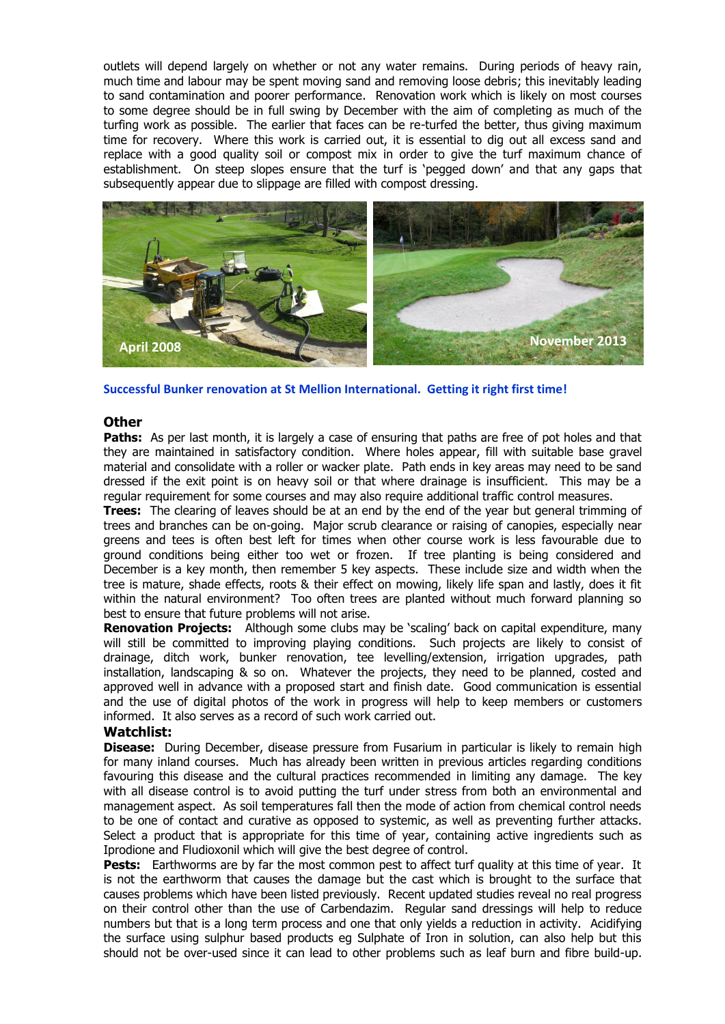outlets will depend largely on whether or not any water remains. During periods of heavy rain, much time and labour may be spent moving sand and removing loose debris; this inevitably leading to sand contamination and poorer performance. Renovation work which is likely on most courses to some degree should be in full swing by December with the aim of completing as much of the turfing work as possible. The earlier that faces can be re-turfed the better, thus giving maximum time for recovery. Where this work is carried out, it is essential to dig out all excess sand and replace with a good quality soil or compost mix in order to give the turf maximum chance of establishment. On steep slopes ensure that the turf is 'pegged down' and that any gaps that subsequently appear due to slippage are filled with compost dressing.



**Successful Bunker renovation at St Mellion International. Getting it right first time!**

# **Other**

Paths: As per last month, it is largely a case of ensuring that paths are free of pot holes and that they are maintained in satisfactory condition. Where holes appear, fill with suitable base gravel material and consolidate with a roller or wacker plate. Path ends in key areas may need to be sand dressed if the exit point is on heavy soil or that where drainage is insufficient. This may be a regular requirement for some courses and may also require additional traffic control measures.

**Trees:** The clearing of leaves should be at an end by the end of the year but general trimming of trees and branches can be on-going. Major scrub clearance or raising of canopies, especially near greens and tees is often best left for times when other course work is less favourable due to ground conditions being either too wet or frozen. If tree planting is being considered and December is a key month, then remember 5 key aspects. These include size and width when the tree is mature, shade effects, roots & their effect on mowing, likely life span and lastly, does it fit within the natural environment? Too often trees are planted without much forward planning so best to ensure that future problems will not arise.

**Renovation Projects:** Although some clubs may be 'scaling' back on capital expenditure, many will still be committed to improving playing conditions. Such projects are likely to consist of drainage, ditch work, bunker renovation, tee levelling/extension, irrigation upgrades, path installation, landscaping & so on. Whatever the projects, they need to be planned, costed and approved well in advance with a proposed start and finish date. Good communication is essential and the use of digital photos of the work in progress will help to keep members or customers informed. It also serves as a record of such work carried out.

## **Watchlist:**

**Disease:** During December, disease pressure from Fusarium in particular is likely to remain high for many inland courses. Much has already been written in previous articles regarding conditions favouring this disease and the cultural practices recommended in limiting any damage. The key with all disease control is to avoid putting the turf under stress from both an environmental and management aspect. As soil temperatures fall then the mode of action from chemical control needs to be one of contact and curative as opposed to systemic, as well as preventing further attacks. Select a product that is appropriate for this time of year, containing active ingredients such as Iprodione and Fludioxonil which will give the best degree of control.

Pests: Earthworms are by far the most common pest to affect turf quality at this time of year. It is not the earthworm that causes the damage but the cast which is brought to the surface that causes problems which have been listed previously. Recent updated studies reveal no real progress on their control other than the use of Carbendazim. Regular sand dressings will help to reduce numbers but that is a long term process and one that only yields a reduction in activity. Acidifying the surface using sulphur based products eg Sulphate of Iron in solution, can also help but this should not be over-used since it can lead to other problems such as leaf burn and fibre build-up.